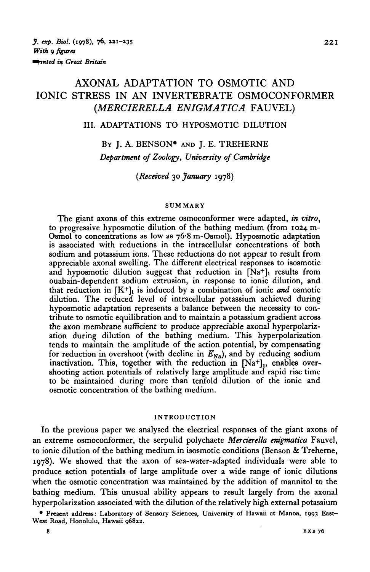# AXONAL ADAPTATION TO OSMOTIC AND IONIC STRESS IN AN INVERTEBRATE OSMOCONFORMER (MERCIERELLA ENIGMATICA FAUVEL)

#### III. ADAPTATIONS TO HYPOSMOTIC DILUTION

BY J. A. BENSON\* AND J. E. TREHERNE *Department of Zoology, University of Cambridge*

*{Received* 30 *January* 1978)

#### **SUMMARY**

The giant axons of this extreme osmoconformer were adapted, *in vitro,* to progressive hyposmotic dilution of the bathing medium (from 1024 m-<br>Osmol to concentrations as low as  $76-8$  m-Osmol). Hyposmotic adaptation is associated with reductions in the intracellular concentrations of both sodium and potassium ions. These reductions do not appear to result from appreciable axonal swelling. The different electrical responses to isosmotic and hyposmotic dilution suggest that reduction in  $[Na^+]_1$  results from ouabain-dependent sodium extrusion, in response to ionic dilution, and that reduction in  $[K^+]$ <sub>1</sub> is induced by a combination of ionic *and* osmotic dilution. The reduced level of intracellular potassium achieved during hyposmotic adaptation represents a balance between the necessity to con- tribute to osmotic equilibration and to maintain a potassium gradient across the axon membrane sufficient to produce appreciable axonal hyperpolariz- ation during dilution of the bathing medium. This hyperpolarization tends to maintain the amplitude of the action potential, by compensating for reduction in overshoot (with decline in  $E_{N_a}$ ), and by reducing sodium inactivation. This, together with the reduction in  $[Na^+]_1$ , enables over-<br>shooting action potentials of relatively large amplitude and rapid rise time to be maintained during more than tenfold dilution of the ionic and osmotic concentration of the bathing medium.

#### **INTRODUCTION**

In the previous paper we analysed the electrical responses of the giant axons of an extreme osmoconformer, the serpulid polychaete *Mercierella enigmatica* Fauvel, to ionic dilution of the bathing medium in isosmotic conditions (Benson & Treherne, 1978). We showed that the axon of sea-water-adapted individuals were able to produce action potentials of large amplitude over a wide range of ionic dilutions when the osmotic concentration was maintained by the addition of mannitol to the bathing medium. This unusual ability appears to result largely from the axonal hyperpolarization associated with the dilution of the relatively high external potassium

**• Present address: Laboratory of Sensory Sciences, University of Hawaii at Manoa, 1993 East-West Road, Honolulu, Hawaii 96822.**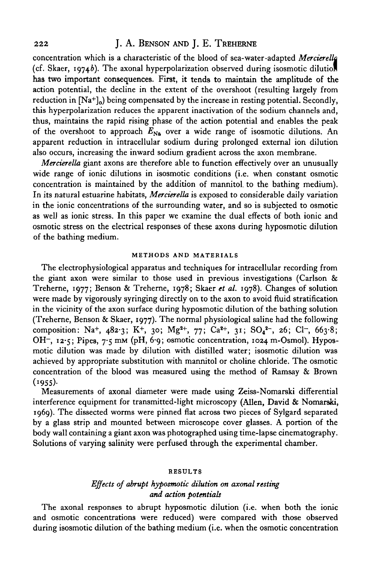# 222 **J. A. BENSON AND J. E. TREHERNE**

concentration which is a characteristic of the blood of sea-water-adapted *Merrierella* (cf. Skaer, 1974b). The axonal hyperpolarization observed during isosmotic dilution has two important consequences. First, it tends to maintain the amplitude of the action potential, the decline in the extent of the overshoot (resulting largely from reduction in  $[Na^+]_0$ ) being compensated by the increase in resting potential. Secondly, this hyperpolarization reduces the apparent inactivation of the sodium channels and, thus, maintains the rapid rising phase of the action potential and enables the peak of the overshoot to approach  $E_{N_A}$  over a wide range of isosmotic dilutions. An apparent reduction in intracellular sodium during prolonged external ion dilution also occurs, increasing the inward sodium gradient across the axon membrane.

*Merrierella* giant axons are therefore able to function effectively over an unusually wide range of ionic dilutions in isosmotic conditions (i.e. when constant osmotic concentration is maintained by the addition of mannitol, to the bathing medium). In its natural estuarine habitats, *Merrierella* is exposed to considerable daily variation in the ionic concentrations of the surrounding water, and so is subjected to osmotic as well as ionic stress. In this paper we examine the dual effects of both ionic and osmotic stress on the electrical responses of these axons during hyposmotic dilution of the bathing medium.

### **METHODS AND MATERIALS**

The electrophysiological apparatus and techniques for intracellular recording from the giant axon were similar to those used in previous investigations (Carlson & Treherne, 1977; Benson & Treherne, 1978; Skaer *et al.* 1978). Changes of solution were made by vigorously syringing directly on to the axon to avoid fluid stratification in the vicinity of the axon surface during hyposmotic dilution of the bathing solution (Treherne, Benson & Skaer, 1977). The normal physiological saline had the following composition: Na<sup>+</sup>, 482.3; K<sup>+</sup>, 30; Mg<sup>2+</sup>, 77; Ca<sup>2+</sup>, 31; SO<sub>4</sub><sup>2-</sup>, 26; Cl<sup>-</sup>, 663.8; OH<sup>-</sup>, 12.5; Pipes, 7.5 mm (pH, 6.9; osmotic concentration, 1024 m-Osmol). Hyposmotic dilution was made by dilution with distilled water; isosmotic dilution was achieved by appropriate substitution with mannitol or choline chloride. The osmotic concentration of the blood was measured using the method of Ramsay & Brown  $(1955).$ 

Measurements of axonal diameter were made using Zeiss-Nomarski differential interference equipment for transmitted-light microscopy (Allen, David & Nomarski, 1969). The dissected worms were pinned flat across two pieces of Sylgard separated by a glass strip and mounted between microscope cover glasses. A portion of the body wall containing a giant axon was photographed using time-lapse cinematography. Solutions of varying salinity were perfused through the experimental chamber.

#### **RESULTS**

### *Effects of abrupt hyposmotic dilution on axonal resting and action potentials*

The axonal responses to abrupt hyposmotic dilution (i.e. when both the ionic and osmotic concentrations were reduced) were compared with those observed during isosmotic dilution of the bathing medium (i.e. when the osmotic concentration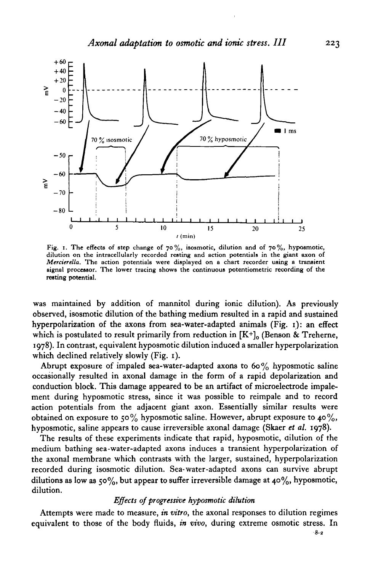

Fig. 1. The effects of step change of  $70\%$ , isosmotic, dilution and of  $70\%$ , hyposmotic, dilution on the intracellularly recorded resting and action potentials in the giant axon of *Mercierella*. The action potentials were displayed on a chart recorder using a transient signal processor. The lower tracing shows the continuous potentiometric recording of the resting potential.

was maintained by addition of mannitol during ionic dilution). As previously observed, isosmotic dilution of the bathing medium resulted in a rapid and sustained hyperpolarization of the axons from sea-water-adapted animals (Fig. 1): an effect which is postulated to result primarily from reduction in  $[K^+]_0$  (Benson & Treherne, 1978). In contrast, equivalent hyposmotic dilution induced a smaller hyperpolarization which declined relatively slowly (Fig. 1).

Abrupt exposure of impaled sea-water-adapted axons to  $60\%$  hyposmotic saline occasionally resulted in axonal damage in the form of a rapid depolarization and conduction block. This damage appeared to be an artifact of microelectrode impalement during hyposmotic stress, since it was possible to reimpale and to record action potentials from the adjacent giant axon. Essentially similar results were obtained on exposure to 50% hyposmotic saline. However, abrupt exposure to 40%, hyposmotic, saline appears to cause irreversible axonal damage (Skaer *et al.* 1978).

The results of these experiments indicate that rapid, hyposmotic, dilution of the medium bathing sea-water-adapted axons induces a transient hyperpolarization of the axonal membrane which contrasts with the larger, sustained, hyperpolarization recorded during isosmotic dilution. Sea-water-adapted axons can survive abrupt dilutions as low as 50%, but appear to suffer irreversible damage at 40%, hyposmotic, dilution.

#### *Effects of progressive hyposmotic dilution*

Attempts were made to measure, *in vitro,* the axonal responses to dilution regimes equivalent to those of the body fluids, *in vivo,* during extreme osmotic stress. In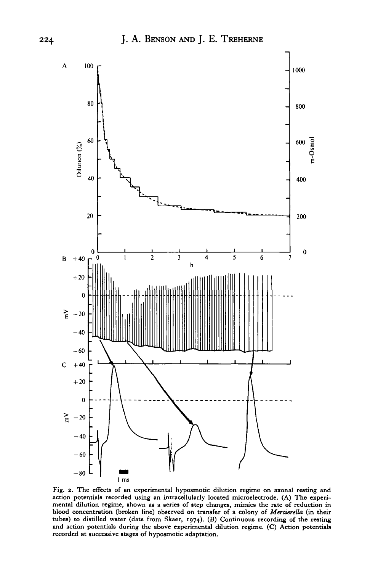

**Fig. 2. The effects of an experimental hyposmotic dilution regime on axonal resting and action potentials recorded using an intracellularly located microelectrode. (A) The experimental dilution regime, shown as a series of step changes, mimics the rate of reduction in blood concentration (broken line) observed on transfer of a colony of** *Mercierella* **(in their tubes) to distilled water (data from Skaer, 1974). (B) Continuous recording of the resting and action potentials during the above experimental dilution regime. (C) Action potentials recorded at successive stages of hyposmotic adaptation.**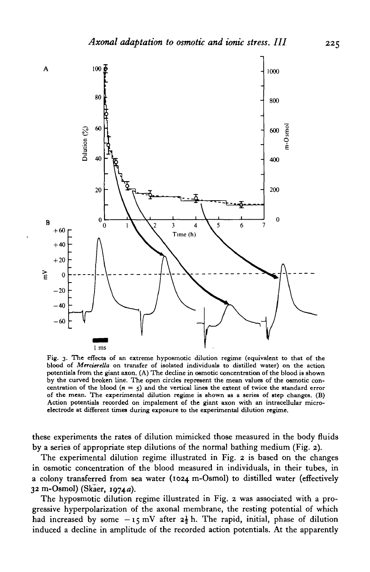

Fig. 3. The effects of an extreme hyposmotic dilution regime (equivalent to that of the blood of *Merderella* on transfer of isolated individuals to distilled water) on the action potentials from the giant axon. (A) The decline in oemotic concentration of the blood is shown by the curved broken line. The open circles represent the mean values of the osmotic concentration of the blood ( $n = 5$ ) and the vertical lines the extent of twice the standard error of the mean. The experimental dilution regime is shown as a series of step changes. (B) Action potentials recorded on impalement of the giant axon with an intracellular microelectrode at different times during exposure to the experimental dilution regime.

these experiments the rates of dilution mimicked those measured in the body fluids by a series of appropriate step dilutions of the normal bathing medium (Fig. 2).

The experimental dilution regime illustrated in Fig. 2 is based on the changes in osmotic concentration of the blood measured in individuals, in their tubes, in a colony transferred from sea water (1024 m-Osmol) to distilled water (effectively 32 m-Osmol) (Skaer, 1974a).

The hyposmotic dilution regime illustrated in Fig. 2 was associated with a progressive hyperpolarization of the axonal membrane, the resting potential of which had increased by some  $-i \, \xi \, mV$  after  $2\frac{1}{2}$  h. The rapid, initial, phase of dilution induced a decline in amplitude of the recorded action potentials. At the apparently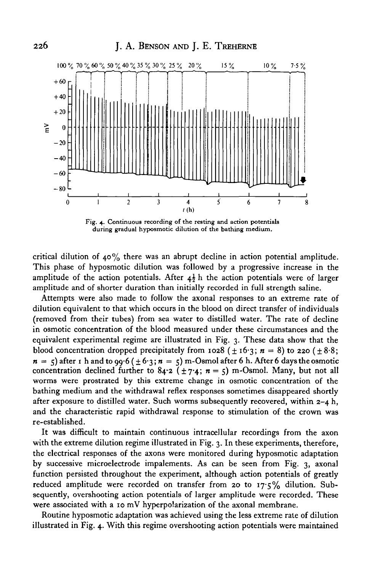

Fig. 4. Continuous recording of the resting and action potentials during gradual hyposmotic dilution of the bathing medium.

critical dilution of 40% there was an abrupt decline in action potential amplitude. This phase of hyposmotic dilution was followed by a progressive increase in the amplitude of the action potentials. After  $4\frac{1}{2}$  h the action potentials were of larger amplitude and of shorter duration than initially recorded in full strength saline.

Attempts were also made to follow the axonal responses to an extreme rate of dilution equivalent to that which occurs in the blood on direct transfer of individuals (removed from their tubes) from sea water to distilled water. The rate of decline in osmotic concentration of the blood measured under these circumstances and the equivalent experimental regime are illustrated in Fig. 3. These data show that the blood concentration dropped precipitately from 1028 ( $\pm$  16.3;  $n = 8$ ) to 220 ( $\pm$ 8.8;  $n = 5$  after r h and to 99.6 ( $\pm 6.3$ ;  $n = 5$ ) m-Osmol after 6 h. After 6 days the osmotic concentration declined further to  $84.2$  ( $\pm$  7.4;  $n = 5$ ) m-Osmol. Many, but not all worms were prostrated by this extreme change in osmotic concentration of the bathing medium and the withdrawal reflex responses sometimes disappeared shortly after exposure to distilled water. Such worms subsequently recovered, within  $z - 4$  h, and the characteristic rapid withdrawal response to stimulation of the crown was re-established.

It was difficult to maintain continuous intracellular recordings from the axon with the extreme dilution regime illustrated in Fig. 3. In these experiments, therefore, the electrical responses of the axons were monitored during hyposmotic adaptation by successive microelectrode impalements. As can be seen from Fig. 3, axonal function persisted throughout the experiment, although action potentials of greatly reduced amplitude were recorded on transfer from 20 to  $17.5\%$  dilution. Subsequently, overshooting action potentials of larger amplitude were recorded. These were associated with a 10 mV hyperpolarization of the axonal membrane.

Routine hyposmotic adaptation was achieved using the less extreme rate of dilution illustrated in Fig. 4. With this regime overshooting action potentials were maintained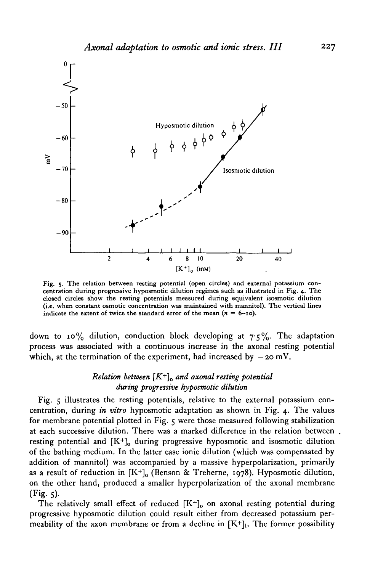

Fig. 5. The relation between resting potential (open circles) and external potassium concentration during progressive hyposmotic dilution regimes such as illustrated in Fig. 4. The closed circles show the resting potentia

down to 10% dilution, conduction block developing at  $7.5\%$ . The adaptation process was associated with a continuous increase in the axonal resting potential which, at the termination of the experiment, had increased by  $-20$  mV.

# *Relation between [K+ ]o and axonal resting potential during progressive hyposmotic dilution*

Fig. 5 illustrates the resting potentials, relative to the external potassium concentration, during *in vitro* hyposmotic adaptation as shown in Fig. 4. The values for membrane potential plotted in Fig. 5 were those measured following stabilization at each successive dilution. There was a marked difference in the relation between resting potential and  $[K^+]_0$  during progressive hyposmotic and isosmotic dilution of the bathing medium. In the latter case ionic dilution (which was compensated by addition of mannitol) was accompanied by a massive hyperpolarization, primarily as a result of reduction in  $[K^+]_0$  (Benson & Treherne, 1978). Hyposmotic dilution, on the other hand, produced a smaller hyperpolarization of the axonal membrane  $(Fig. 5)$ .

The relatively small effect of reduced  $[K^+]_0$  on axonal resting potential during progressive hyposmotic dilution could result either from decreased potassium permeability of the axon membrane or from a decline in  $[K^+]$ . The former possibility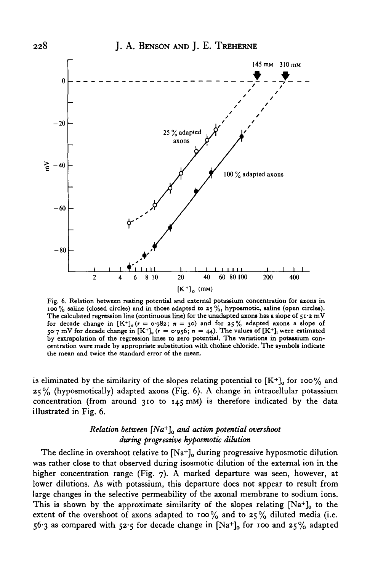

**Fig. 6. Relation between resting potential and external potassium concentration for azons in ioo% saline (closed circles) and in those adapted to 25 %, hypoemotic, saline (open circles). The calculated regression line (continuous line) for the unadapted axons has a slope of 51 -2 mV** for decade change in  $[K^+]_0$  ( $r = \sigma g g_2$ ;  $n = 30$ ) and for 25% adapted axons a slope of 50.7 mV for decade change in  $[K^+]$ <sub>0</sub> ( $r = 0.956$ ;  $n = 44$ ). The values of  $[K^+]$ <sub>1</sub> were estimated **by extrapolation of the regression lines to zero potential. The variations in potassium concentration were made by appropriate substitution with choline chloride. The symbols indicate the mean and twice the standard error of the mean.**

is eliminated by the similarity of the slopes relating potential to  $[K^+]$ <sub>o</sub> for 100% and 25% (hyposmotically) adapted axons (Fig. 6). A change in intracellular potassium concentration (from around 310 to 145 mM) is therefore indicated by the data illustrated in Fig. 6.

# *Relation between [Na+ ]0 and action potential overshoot during progrestive hyposmotic dilution*

The decline in overshoot relative to  $[Na^+]$ <sub>o</sub> during progressive hyposmotic dilution was rather close to that observed during isosmotic dilution of the external ion in the higher concentration range (Fig. 7). A marked departure was seen, however, at lower dilutions. As with potassium, this departure does not appear to result from large changes in the selective permeability of the axonal membrane to sodium ions. This is shown by the approximate similarity of the slopes relating  $[Na^+]$ <sub>0</sub> to the extent of the overshoot of axons adapted to 100% and to 25% diluted media (i.e. 56.3 as compared with 52.5 for decade change in  $[Na^+]_0$  for 100 and 25% adapted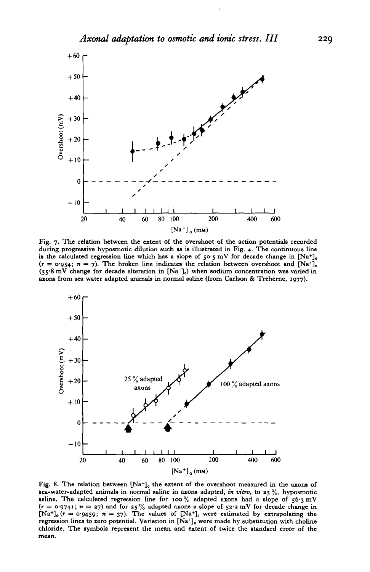

Fig. 7. The relation between the extent of the overshoot of the action potentials recorded during progressive hyposmotic dilution such as is illustrated in Fig. 4. The continuous line is the calculated regression line which has a slope of 50.5 mV for decade change in  $[Na^+]$  $(r = o.054; n = 7)$ . The broken line indicates the relation between overshoot and  $[Na^+]$ .  $(s_5.8 \text{ mV}$  change for decade alteration in  $[Na^+]_0$ ) when sodium concentration was varied in axons from sea water adapted animals in normal saline (frotn Carlson & Treherne, 1977).



Fig. 8. The relation between  $[Na^+]_0$  the extent of the overshoot measured in the axons of gea-water-adapted animals in normal saline in axons adapted, *in vitro,* to 25%, hyposmotic saline. The calculated regression line for 100% adapted axons had a slope of  $56.3 \text{ mV}$  $(r = 0.9741; n = 27)$  and for  $25\%$  adapted axons a slope of  $52.2$  mV for decade change in [Na<sup>+</sup>]<sub>0</sub>  $(r = 0.9459; n = 37)$ . The values of [Na<sup>+</sup>]<sub>1</sub> were estimated by extrapolating the regression lines to zero potential. Var regression lines to zero potential. Variation in  $[Na^+]_o$  were made by substitution with choline chloride. The symbols represent the mean and extent of twice the standard error of the mean.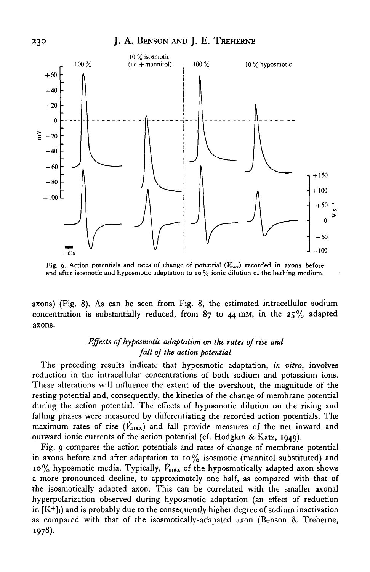

Fig. 9. Action potentials and rates of change of potential  $(V_{\text{max}})$  recorded in axons before and after isosmotic and hyposmotic adaptation to 10 % ionic dilution of the bathing medium.

axons) (Fig. 8). As can be seen from Fig. 8, the estimated intracellular sodium concentration is substantially reduced, from  $87$  to  $44$  mm, in the  $25\%$  adapted axons.

# *Effects of hyposmotic adaptation on the rates of rise and fall of the action potential*

The preceding results indicate that hyposmotic adaptation, *in vitro,* involves reduction in the intracellular concentrations of both sodium and potassium ions. These alterations will influence the extent of the overshoot, the magnitude of the resting potential and, consequently, the kinetics of the change of membrane potential during the action potential. The effects of hyposmotic dilution on the rising and falling phases were measured by differentiating the recorded action potentials. The maximum rates of rise  $(V_{\text{max}})$  and fall provide measures of the net inward and outward ionic currents of the action potential (cf. Hodgkin & Katz, 1949).

Fig. 9 compares the action potentials and rates of change of membrane potential in axons before and after adaptation to  $10\%$  isosmotic (mannitol substituted) and 10% hyposmotic media. Typically, *Vmax* of the hyposmotically adapted axon shows a more pronounced decline, to approximately one half, as compared with that of the isosmotically adapted axon. This can be correlated with the smaller axonal hyperpolarization observed during hyposmotic adaptation (an effect of reduction in  $[K^+]_1$ ) and is probably due to the consequently higher degree of sodium inactivation as compared with that of the isosmotically-adapated axon (Benson & Treherne, 1978).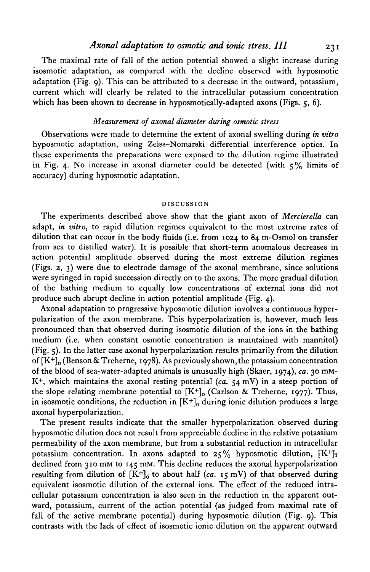### *Axonal adaptation to osmotic and ionic stress. III* 231

The maximal rate of fall of the action potential showed a slight increase during isosmotic adaptation, as compared with the decline observed with hyposmotic adaptation (Fig. 9). This can be attributed to a decrease in the outward, potassium, current which will clearly be related to the intracellular potassium concentration which has been shown to decrease in hyposmotically-adapted axons (Figs.  $5$ , 6).

#### *Measurement of axonal diameter during osmotic stress*

Observations were made to determine the extent of axonal swelling during *in vitro* hyposmotic adaptation, using Zeiss-Nomarski differential interference optics. In these experiments the preparations were exposed to the dilution regime illustrated in Fig. 4. No increase in axonal diameter could be detected (with  $5\%$  limits of accuracy) during hyposmotic adaptation.

#### DISCUSSION

The experiments described above show that the giant axon of *Mercierella* can adapt, *in vitro,* to rapid dilution regimes equivalent to the most extreme rates of dilution that can occur in the body fluids (i.e. from 1024 to 84 m-Osmol on transfer from sea to distilled water). It is possible that short-term anomalous decreases in action potential amplitude observed during the most extreme dilution regimes (Figs. *2,* 3) were due to electrode damage of the axonal membrane, since solutions were syringed in rapid succession directly on to the axons. The more gradual dilution of the bathing medium to equally low concentrations of external ions did not produce such abrupt decline in action potential amplitude (Fig. 4).

Axonal adaptation to progressive hyposmotic dilution involves a continuous hyperpolarization of the axon membrane. This hyperpolarization is, however, much less pronounced than that observed during isosmotic dilution of the ions in the bathing medium (i.e. when constant osmotic concentration is maintained with mannitol) (Fig. 5). In the latter case axonal hyperpolarization results primarily from the dilution of  $[K^+]$ <sub>o</sub> (Benson & Treherne, 1978). As previously shown, the potassium concentration of the blood of sea-water-adapted animals is unusually high (Skaer, 1974), *ca.* 30 mM-K<sup>+</sup>, which maintains the axonal resting potential  $(c\tilde{a}, 54 \text{ mV})$  in a steep portion of the slope relating membrane potential to  $[K^+]_0$  (Carlson & Treherne, 1977). Thus, in isosmotic conditions, the reduction in  $[K^+]$  during ionic dilution produces a large axonal hyperpolarization.

The present results indicate that the smaller hyperpolarization observed during hyposmotic dilution does not result from appreciable decline in the relative potassium permeability of the axon membrane, but from a substantial reduction in intracellular potassium concentration. In axons adapted to  $25\%$  hyposmotic dilution,  $[K^+]_1$ declined from 310 mM to 145 mM. This decline reduces the axonal hyperpolarization resulting from dilution of  $[K^+]_0$  to about half (ca. 15 mV) of that observed during equivalent isosmotic dilution of the external ions. The effect of the reduced intracellular potassium concentration is also seen in the reduction in the apparent outward, potassium, current of the action potential (as judged from maximal rate of fall of the active membrane potential) during hyposmotic dilution (Fig. 9). This contrasts with the lack of effect of isosmotic ionic dilution on the apparent outward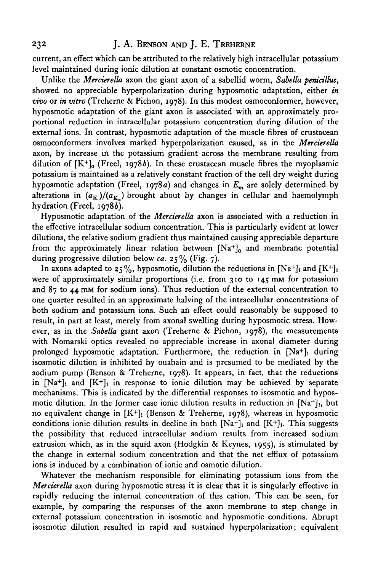current, an effect which can be attributed to the relatively high intracellular potassium level maintained during ionic dilution at constant osmotic concentration.

Unlike the *Mercierella* axon the giant axon of a sabellid worm, *Sabella penicillus,* showed no appreciable hyperpolarization during hyposmotic adaptation, either *in vivo* or *in vitro* (Treherne & Pichon, 1978). In this modest osmoconformer, however, hyposmotic adaptation of the giant axon is associated with an approximately proportional reduction in intracellular potassium concentration during dilution of the external ions. In contrast, hyposmotic adaptation of the muscle fibres of crustacean osmoconformers involves marked hyperpolarization caused, as in the *Mercierella* axon, by increase in the potassium gradient across the membrane resulting from dilution of  $[K^+]$ <sub>o</sub> (Freel, 1978b). In these crustacean muscle fibres the myoplasmic potassium is maintained as a relatively constant fraction of the cell dry weight during hyposmotic adaptation (Freel, 1978a) and changes in *Em* are solely determined by alterations in  $(a_K)/(a_{K_n})$  brought about by changes in cellular and haemolymph hydration (Freel, 1978b).

Hyposmotic adaptation of the *Mercierella* axon is associated with a reduction in the effective intracellular sodium concentration. This is particularly evident at lower dilutions, the relative sodium gradient thus maintained causing appreciable departure from the approximately linear relation between  $[Na^+]_0$  and membrane potential during progressive dilution below ca. 25% (Fig. 7).

In axons adapted to 25%, hyposmotic, dilution the reductions in [Na+]<sub>i</sub> and [K+]<sub>i</sub> were of approximately similar proportions (i.e. from 310 to  $145 \text{ mm}$  for potassium and 87 to 44 mM for sodium ions). Thus reduction of the external concentration to one quarter resulted in an approximate halving of the intracellular concentrations of both sodium and potassium ions. Such an effect could reasonably be supposed to result, in part at least, merely from axonal swelling during hyposmotic stress. However, as in the *Sabella* giant axon (Treherne & Pichon, 1978), the measurements with Nomarski optics revealed no appreciable increase in axonal diameter during prolonged hyposmotic adaptation. Furthermore, the reduction in  $[Na^+]$  during isosmotic dilution is inhibited by ouabain and is presumed to be mediated by the sodium pump (Benson & Treherne,  $1978$ ). It appears, in fact, that the reductions in  $[Na+]_i$  and  $[K+]_i$  in response to ionic dilution may be achieved by separate mechanisms. This is indicated by the differential responses to isosmotic and hyposmotic dilution. In the former case ionic dilution results in reduction in  $[Na^+]$ , but no equivalent change in  $[K^+]$  (Benson & Treherne, 1978), whereas in hyposmotic conditions ionic dilution results in decline in both  $[Na^+]_1$  and  $[K^+]_1$ . This suggests the possibility that reduced intracellular sodium results from increased sodium extrusion which, as in the squid axon (Hodgkin & Keynes, 1955), is stimulated by the change in external sodium concentration and that the net efflux of potassium ions is induced by a combination of ionic and osmotic dilution.

Whatever the mechanism responsible for eliminating potassium ions from the *Mercierella* axon during hyposmotic stress it is clear that it is singularly effective in rapidly reducing the internal concentration of this cation. This can be seen, for example, by comparing the responses of the axon membrane to step change in external potassium concentration in isosmotic and hyposmotic conditions. Abrupt isosmotic dilution resulted in rapid and sustained hyperpolarization; equivalent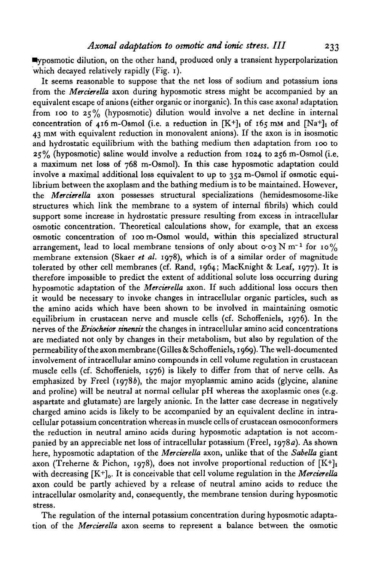$\blacksquare$ posmotic dilution, on the other hand, produced only a transient hyperpolarization which decayed relatively rapidly (Fig. 1).

It seems reasonable to suppose that the net loss of sodium and potassium ions from the *Mercierella* axon during hyposmotic stress might be accompanied by an equivalent escape of anions (either organic or inorganic). In this case axonal adaptation from 100 to  $25\%$  (hyposmotic) dilution would involve a net decline in internal concentration of 416 m-Osmol (i.e. a reduction in  $[K^+]_1$  of 165 mm and  $[Na^+]_1$  of 43 mM with equivalent reduction in monovalent anions). If the axon is in isosmotic and hydrostatic equilibrium with the bathing medium then adaptation from 100 to  $25\%$  (hyposmotic) saline would involve a reduction from 1024 to 256 m-Osmol (i.e. a maximum net loss of 768 m-Osmol). In this case hyposmotic adaptation could involve a maximal additional loss equivalent to up to 352 m-Osmol if osmotic equilibrium between the axoplasm and the bathing medium is to be maintained. However, the *Mercierella* axon possesses structural specializations (hemidesmosome-like structures which link the membrane to a system of internal fibrils) which could support some increase in hydrostatic pressure resulting from excess in intracellular osmotic concentration. Theoretical calculations show, for example, that an excess osmotic concentration of 100 m-Osmol would, within this specialized structural arrangement, lead to local membrane tensions of only about  $\cos N m^{-1}$  for 10% membrane extension (Skaer *et al.* 1978), which is of a similar order of magnitude tolerated by other cell membranes (cf. Rand, 1964; MacKnight & Leaf, 1977). It is therefore impossible to predict the extent of additional solute loss occurring during hyposmotic adaptation of the *Mercierella* axon. If such additional loss occurs then it would be necessary to invoke changes in intracellular organic particles, such as the amino acids which have been shown to be involved in maintaining osmotic equilibrium in crustacean nerve and muscle cells (cf. Schoffeniels, 1976). In the nerves of the *Eriocheior sinensis* the changes in intracellular amino acid concentrations are mediated not only by changes in their metabolism, but also by regulation of the permeability of the axon membrane (Gilles & Schoffeniels, 1969). The well-documented involvement of intracellular amino compounds in cell volume regulation in crustacean muscle cells (cf. Schoffeniels, 1976) is likely to differ from that of nerve cells. As emphasized by Freel (19786), the major myoplasmic amino acids (glycine, alanine and proline) will be neutral at normal cellular pH whereas the axoplasmic ones (e.g. aspartate and glutamate) are largely anionic. In the latter case decrease in negatively charged amino acids is likely to be accompanied by an equivalent decline in intracellular potassium concentration whereas in muscle cells of crustacean osmoconformers the reduction in neutral amino acids during hyposmotic adaptation is not accompanied by an appreciable net loss of intracellular potassium (Freel, 1978a). As shown here, hyposmotic adaptation of the *Mercierella* axon, unlike that of the *Sabella* giant axon (Treherne & Pichon, 1978), does not involve proportional reduction of  $[K^+]_1$ with decreasing [K<sup>+</sup>]<sub>0</sub>. It is conceivable that cell volume regulation in the *Mercierella* axon could be partly achieved by a release of neutral amino acids to reduce the intracellular osmolarity and, consequently, the membrane tension during hyposmotic stress.

The regulation of the internal potassium concentration during hyposmotic adaptation of the *Mercierella* axon seems to represent a balance between the osmotic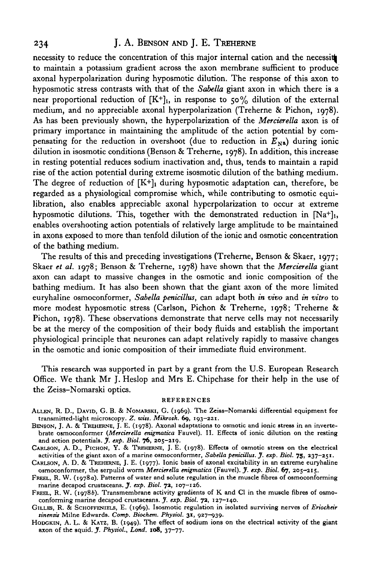### 234 J. A. BENSON AND J. E. TREHERNE

necessity to reduce the concentration of this major internal cation and the necessit to maintain a potassium gradient across the axon membrane sufficient to produce axonal hyperpolarization during hyposmotic dilution. The response of this axon to hyposmotic stress contrasts with that of the *Sabella* giant axon in which there is a near proportional reduction of  $[K^+]_i$ , in response to 50% dilution of the external medium, and no appreciable axonal hyperpolarization (Treherne & Pichon, 1978). As has been previously shown, the hyperpolarization of the *Merrierella* axon is of primary importance in maintaining the amplitude of the action potential by compensating for the reduction in overshoot (due to reduction in  $E_{N_a}$ ) during ionic dilution in isosmotic conditions (Benson & Treherne, 1978). In addition, this increase in resting potential reduces sodium inactivation and, thus, tends to maintain a rapid rise of the action potential during extreme isosmotic dilution of the bathing medium. The degree of reduction of  $[K^+]$  during hyposmotic adaptation can, therefore, be regarded as a physiological compromise which, while contributing to osmotic equilibration, also enables appreciable axonal hyperpolarization to occur at extreme hyposmotic dilutions. This, together with the demonstrated reduction in [Na+]<sub>1</sub>, enables overshooting action potentials of relatively large amplitude to be maintained in axons exposed to more than tenfold dilution of the ionic and osmotic concentration of the bathing medium.

The results of this and preceding investigations (Treherne, Benson & Skaer, 1977; Skaer et al. 1978; Benson & Treherne, 1978) have shown that the *Mercierella* giant axon can adapt to massive changes in the osmotic and ionic composition of the bathing medium. It has also been shown that the giant axon of the more limited euryhaline osmoconformer, *Sabella penirillus,* can adapt both *in vivo* and *in vitro* to more modest hyposmotic stress (Carlson, Pichon & Treherne, 1978; Treherne & Pichon, 1978). These observations demonstrate that nerve cells may not necessarily be at the mercy of the composition of their body fluids and establish the important physiological principle that neurones can adapt relatively rapidly to massive changes in the osmotic and ionic composition of their immediate fluid environment.

This research was supported in part by a grant from the U.S. European Research Office. We thank Mr J. Heslop and Mrs E. Chipchase for their help in the use of the Zeiss-Nomarski optics.

#### REFERENCES

- ALLEN, R. D., DAVID, G. B. & NOMARSKI, G. (1969). The Zeiss-Nomarski differential equipment for transmitted-light microscopy. Z. wiss. Mikrosk. 69, 193-221.
- BENSON, J. A. & TREHERNE, J. E. (1978). Axonal adaptations to osmotic and ionic stress in an inverte-<br>brate osmoconformer (*Mercierella enigmatica* Fauvel). II. Effects of ionic dilution on the resting<br>and action potentia
- CARLSON, A. D., PICHON, Y. & TREHERNE, J. E. (1978). Effects of osmotic stress on the electrical activities of the giant axon of a marine osmoconformer, *Sabella penicillus*. J. exp. Biol. 75, 237-251.<br>CARLSON, A. D. & TREHERNE, J. E. (1977). Ionic basis of axonal excitability in an extreme euryhaline

osmoconformer, the serpulid worm Mercierella enigmatica (Fauvel). J. exp. Biol. 67, 205-215.

- FREEL, R. W. (1978a). Patterns of water and solute regulation in the muscle fibres of osmoconforming marine decapod crustaceans. J. *exp. Biol.* 7a, 107-126.
- FREEL, R. W. (1978b). Transmembrane activity gradients of K and Cl in the muscle fibres of osmo-conforming marine decapod crustaceans. *J. exp. Biol.* 72, 127-140.
- GILLES, R. & SCHOFFENIELS, E. (1969). Isosmotic regulation in isolated surviving nerves of *Eriocheir tinentit* Milne Edwards. *Comp. Biochem. Physiol.* 31, 927-939.
- HODGKIN, A. L. & KATZ, B. (1949). The effect of sodium ions on the electrical activity of the giant axon of the squid. *J. Physiol., Lond.* **108,** 37-77.